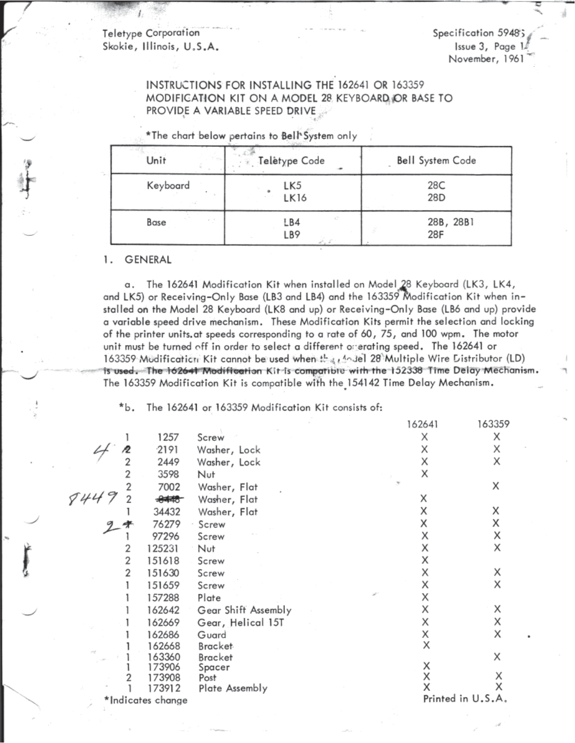Teletype Corporation Skokie, Illinois, U.S.A.

Specification 5948; Issue 3, Page 1 November, 1961

# **INSTRUCTIONS FOR INSTALLING THE 162641 OR 163359** MODIFICATION KIT ON A MODEL 28 KEYBOARD OR BASE TO PROVIDE A VARIABLE SPEED DRIVE

| Unit     | Teletype Code | Bell System Code |
|----------|---------------|------------------|
| Keyboard | LK5<br>LK16   | 28C<br>28D       |
| Base     | LB4<br>LB9    | 28B, 28B1<br>28F |

\*The chart below pertains to Bell System only

#### **GENERAL** 1.

The 162641 Modification Kit when installed on Model 28 Keyboard (LK3, LK4, α. and LK5) or Receiving-Only Base (LB3 and LB4) and the 163359 Modification Kit when installed on the Model 28 Keyboard (LK8 and up) or Receiving–Only Base (LB6 and up) provide a variable speed drive mechanism. These Modification Kits permit the selection and locking of the printer units at speeds corresponding to a rate of 60, 75, and 100 wpm. The motor unit must be turned off in order to select a different or erating speed. The 162641 or 163359 Mödification Kit cannot be used when the challel 28 Multiple Wire Distributor (LD) is used. The 162641 Modification Kit is compatible with the 152338 Time Delay Mechanism. The 163359 Modification Kit is compatible with the 154142 Time Delay Mechanism.

The 162641 or 163359 Modification Kit consists of: \*b.

|                   |                  |                        | 162641 | 163359            |
|-------------------|------------------|------------------------|--------|-------------------|
|                   | 1257             | Screw                  | Χ      | Χ                 |
|                   | 2191             | Washer, Lock           | Χ      | Χ                 |
|                   | 2449             | Washer, Lock           | Χ      | Χ                 |
|                   | 3598             | Nut                    | Х      |                   |
|                   | 7002             | Washer, Flat           |        | X                 |
|                   | $\frac{1}{2}$    | Washer, Flat           | Χ      |                   |
|                   | 34432            | Washer, Flat           | Χ      | Χ                 |
|                   | 76279            | Screw                  | Χ      | Χ                 |
|                   | 97296            | Screw                  | Х      | Χ                 |
| 2                 | 125231           | Nut                    | Χ      | Χ                 |
| 2                 | 151618           | Screw                  | Χ      |                   |
| 2                 | 151630           | Screw                  | Χ      | Χ                 |
|                   | 151659           | Screw                  | Χ      | Χ                 |
|                   | 157288           | Plate                  | Χ      |                   |
|                   | 162642           | Gear Shift Assembly    | Χ      | Χ                 |
|                   | 162669           | Gear, Helical 15T      | Χ      | Χ                 |
|                   | 162686           | Guard                  | Χ      | X                 |
|                   | 162668           | <b>Bracket</b>         | Χ      |                   |
|                   | 163360           | Bracket                |        | Χ                 |
|                   | 173906           | Spacer                 | X<br>X |                   |
|                   | 173908<br>173912 | Post<br>Plate Assembly | X      | Χ                 |
| *Indicates change |                  |                        |        | Printed in U.S.A. |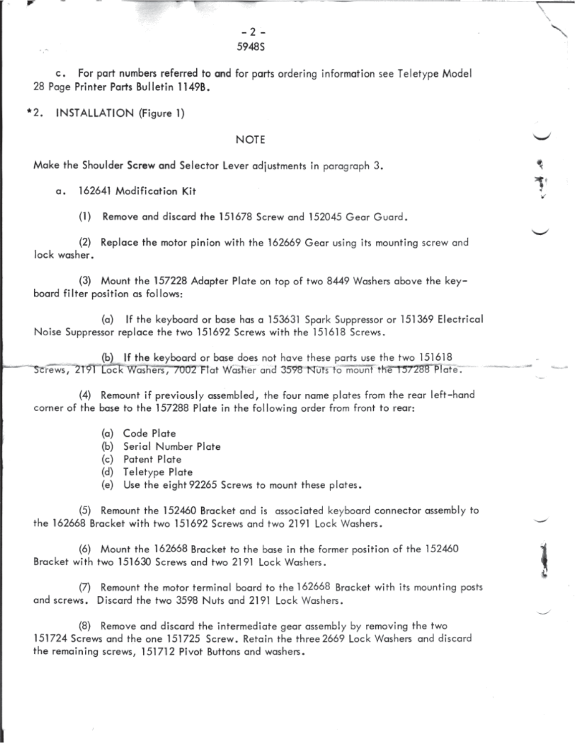c. For part numbers referred to and for parts ordering information see Teletype Model 28 Page Printer Parts Bulletin 1149B.

\*2. INSTALLATION (Figure 1)

### **NOTE**

Make the Shoulder Screw and Selector Lever adjustments in paragraph 3.

a. 162641 Modification Kit

Remove and discard the 151678 Screw and 152045 Gear Guard.  $(1)$ 

(2) Replace the motor pinion with the 162669 Gear using its mounting screw and lock washer.

(3) Mount the 157228 Adapter Plate on top of two 8449 Washers above the keyboard filter position as follows:

(a) If the keyboard or base has a 153631 Spark Suppressor or 151369 Electrical Noise Suppressor replace the two 151692 Screws with the 151618 Screws.

(b) If the keyboard or base does not have these parts use the two 151618 Screws, 2191 Lock Washers, 7002 Flat Washer and 3598 Nuts to mount the 157288 Plate.

(4) Remount if previously assembled, the four name plates from the rear left-hand corner of the base to the 157288 Plate in the following order from front to rear:

- (a) Code Plate
- (b) Serial Number Plate
- (c) Patent Plate
- (d) Teletype Plate
- (e) Use the eight 92265 Screws to mount these plates.

(5) Remount the 152460 Bracket and is associated keyboard connector assembly to the 162668 Bracket with two 151692 Screws and two 2191 Lock Washers.

(6) Mount the 162668 Bracket to the base in the former position of the 152460 Bracket with two 151630 Screws and two 2191 Lock Washers.

(7) Remount the motor terminal board to the 162668 Bracket with its mounting posts and screws. Discard the two 3598 Nuts and 2191 Lock Washers.

(8) Remove and discard the intermediate gear assembly by removing the two 151724 Screws and the one 151725 Screw. Retain the three 2669 Lock Washers and discard the remaining screws, 151712 Pivot Buttons and washers.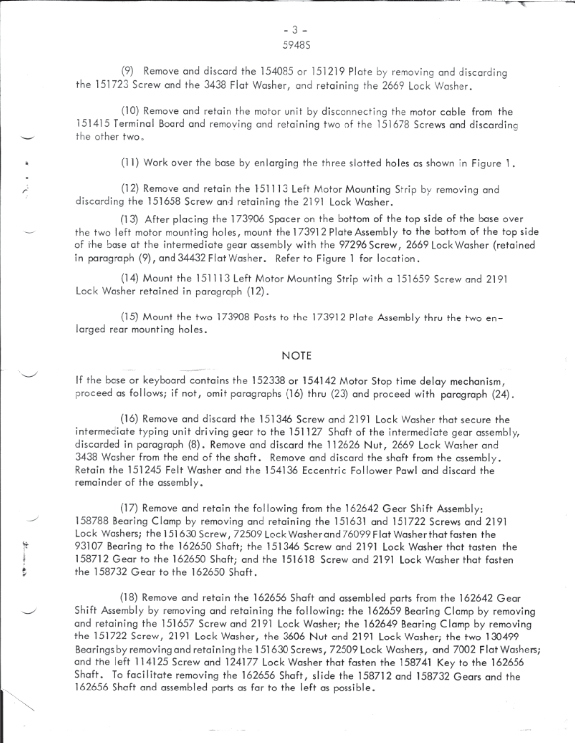(9) Remove and discard the 154085 or 151219 Plate by removing and discarding the 151723 Screw and the 3438 Flat Washer, and retaining the 2669 Lock Washer.

(10) Remove and retain the motor unit by disconnecting the motor cable from the 151415 Terminal Board and removing and retaining two of the 151678 Screws and discarding the other two.

(11) Work over the base by enlarging the three slotted holes as shown in Figure 1.

(12) Remove and retain the 151113 Left Motor Mounting Strip by removing and discarding the 151658 Screw and retaining the 2191 Lock Washer.

(13) After placing the 173906 Spacer on the bottom of the top side of the base over the two left motor mounting holes, mount the 173912 Plate Assembly to the bottom of the top side of the base at the intermediate gear assembly with the 97296 Screw, 2669 Lock Washer (retained in paragraph (9), and 34432 Flat Washer. Refer to Figure 1 for location.

(14) Mount the 151113 Left Motor Mounting Strip with a 151659 Screw and 2191 Lock Washer retained in paragraph (12).

(15) Mount the two 173908 Posts to the 173912 Plate Assembly thru the two enlarged rear mounting holes.

### **NOTE**

If the base or keyboard contains the 152338 or 154142 Motor Stop time delay mechanism, proceed as follows; if not, omit paragraphs (16) thru (23) and proceed with paragraph (24).

(16) Remove and discard the 151346 Screw and 2191 Lock Washer that secure the intermediate typing unit driving gear to the 151127 Shaft of the intermediate gear assembly, discarded in paragraph (8). Remove and discard the 112626 Nut, 2669 Lock Washer and 3438 Washer from the end of the shaft. Remove and discard the shaft from the assembly, Retain the 151245 Felt Washer and the 154136 Eccentric Follower Pawl and discard the remainder of the assembly,

(17) Remove and retain the following from the 162642 Gear Shift Assembly: 158788 Bearing Clamp by removing and retaining the 151631 and 151722 Screws and 2191 Lock Washers; the 151630 Screw, 72509 Lock Washer and 76099 Flat Washer that fasten the 93107 Bearing to the 162650 Shaft; the 151346 Screw and 2191 Lock Washer that tasten the 158712 Gear to the 162650 Shaft; and the 151618 Screw and 2191 Lock Washer that fasten the 158732 Gear to the 162650 Shaft.

(18) Remove and retain the 162656 Shaft and assembled parts from the 162642 Gear Shift Assembly by removing and retaining the following: the 162659 Bearing Clamp by removing and retaining the 151657 Screw and 2191 Lock Washer; the 162649 Bearing Clamp by removing the 151722 Screw, 2191 Lock Washer, the 3606 Nut and 2191 Lock Washer; the two 130499 Bearings by removing and retaining the 151630 Screws, 72509 Lock Washers, and 7002 Flat Washers; and the left 114125 Screw and 124177 Lock Washer that fasten the 158741 Key to the 162656 Shaft. To facilitate removing the 162656 Shaft, slide the 158712 and 158732 Gears and the 162656 Shaft and assembled parts as far to the left as possible.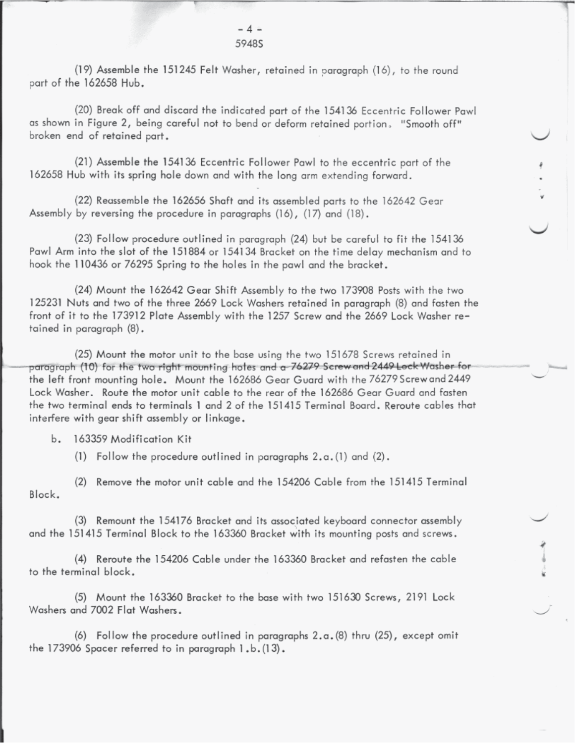## $-4 =$ 5948S

(19) Assemble the 151245 Felt Washer, retained in paragraph (16), to the round part of the 162658 Hub.

(20) Break off and discard the indicated part of the 154136 Eccentric Follower Pawl as shown in Figure 2, being careful not to bend or deform retained portion. "Smooth off" broken end of retained part.

(21) Assemble the 154136 Eccentric Follower Pawl to the eccentric part of the 162658 Hub with its spring hole down and with the long arm extending forward.

(22) Reassemble the 162656 Shaft and its assembled parts to the 162642 Gear Assembly by reversing the procedure in paragraphs (16), (17) and (18).

(23) Follow procedure outlined in paragraph (24) but be careful to fit the 154136 Pawl Arm into the slot of the 151884 or 154134 Bracket on the time delay mechanism and to hook the 110436 or 76295 Spring to the holes in the pawl and the bracket.

(24) Mount the 162642 Gear Shift Assembly to the two 173908 Posts with the two 125231 Nuts and two of the three 2669 Lock Washers retained in paragraph (8) and fasten the front of it to the 173912 Plate Assembly with the 1257 Screw and the 2669 Lock Washer retained in paragraph (8).

(25) Mount the motor unit to the base using the two 151678 Screws retained in paragraph (10) for the two right mounting holes and a 76279 Screw and 2449 Lock Washer for the left front mounting hole. Mount the 162686 Gear Guard with the 76279 Screw and 2449 Lock Washer. Route the motor unit cable to the rear of the 162686 Gear Guard and fasten the two terminal ends to terminals 1 and 2 of the 151415 Terminal Board, Reroute cables that interfere with gear shift assembly or linkage.

b. 163359 Modification Kit

(1) Follow the procedure outlined in paragraphs  $2.a.(1)$  and  $(2)$ .

(2) Remove the motor unit cable and the 154206 Cable from the 151415 Terminal Block.

(3) Remount the 154176 Bracket and its associated keyboard connector assembly and the 151415 Terminal Block to the 163360 Bracket with its mounting posts and screws.

(4) Reroute the 154206 Cable under the 163360 Bracket and refasten the cable to the terminal block.

(5) Mount the 163360 Bracket to the base with two 151630 Screws, 2191 Lock Washers and 7002 Flat Washers.

(6) Follow the procedure outlined in paragraphs  $2.a.(8)$  thru  $(25)$ , except omit the 173906 Spacer referred to in paragraph 1.b. (13).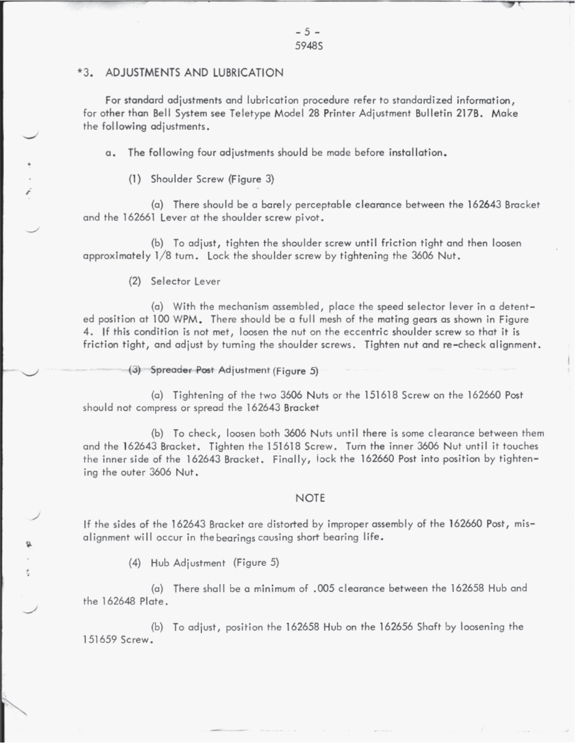## \*3. ADJUSTMENTS AND LUBRICATION

For standard adjustments and lubrication procedure refer to standardized information, for other than Bell System see Teletype Model 28 Printer Adjustment Bulletin 217B. Make the following adjustments.

The following four adjustments should be made before installation.  $\alpha$ .

(1) Shoulder Screw (Figure 3)

(a) There should be a barely perceptable clearance between the 162643 Bracket and the 162661 Lever at the shoulder screw pivot.

(b) To adjust, tighten the shoulder screw until friction tight and then loosen approximately 1/8 turn. Lock the shoulder screw by tightening the 3606 Nut.

(2) Selector Lever

(a) With the mechanism assembled, place the speed selector lever in a detented position at 100 WPM. There should be a full mesh of the mating gears as shown in Figure 4. If this condition is not met, loosen the nut on the eccentric shoulder screw so that it is friction tight, and adjust by turning the shoulder screws. Tighten nut and re-check alignment.

(3) Spreader Post Adjustment (Figure 5)

(a) Tightening of the two 3606 Nuts or the 151618 Screw on the 162660 Post should not compress or spread the 162643 Bracket

(b) To check, loosen both 3606 Nuts until there is some clearance between them and the 162643 Bracket. Tighten the 151618 Screw. Turn the inner 3606 Nut until it touches the inner side of the 162643 Bracket. Finally, lock the 162660 Post into position by tightening the outer 3606 Nut.

#### **NOTE**

If the sides of the 162643 Bracket are distorted by improper assembly of the 162660 Post, misalignment will occur in the bearings causing short bearing life.

(4) Hub Adjustment (Figure 5)

(a) There shall be a minimum of ,005 clearance between the 162658 Hub and the 162648 Plate.

(b) To adjust, position the 162658 Hub on the 162656 Shaft by loosening the 151659 Screw.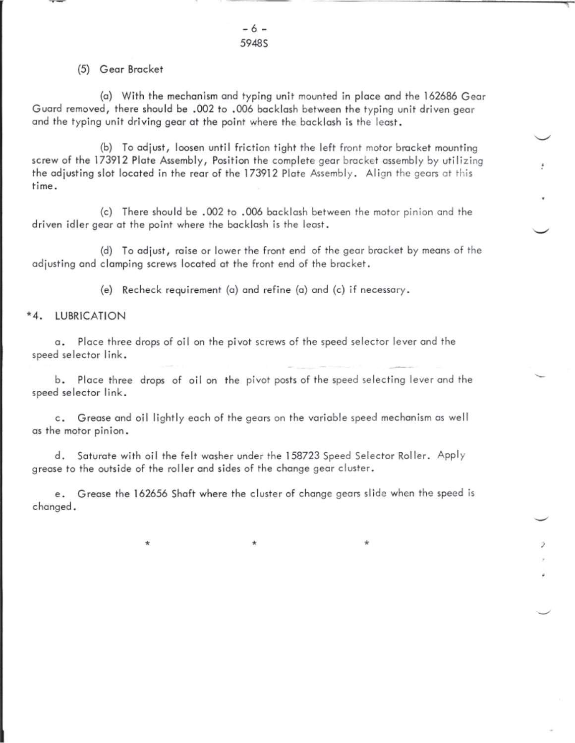$-6-$ 5948S

## (5) Gear Bracket

(a) With the mechanism and typing unit mounted in place and the 162686 Gear Guard removed, there should be .002 to .006 backlash between the typing unit driven gear and the typing unit driving gear at the point where the backlash is the least.

(b) To adjust, loosen until friction tight the left front motor bracket mounting screw of the 173912 Plate Assembly, Position the complete gear bracket assembly by utilizing the adjusting slot located in the rear of the 173912 Plate Assembly. Align the gears at this time.

(c) There should be .002 to .006 backlash between the motor pinion and the driven idler gear at the point where the backlash is the least.

(d) To adjust, raise or lower the front end of the gear bracket by means of the adjusting and clamping screws located at the front end of the bracket.

(e) Recheck requirement (a) and refine (a) and (c) if necessary.

#### **LUBRICATION** \*4.

∗

a. Place three drops of oil on the pivot screws of the speed selector lever and the speed selector link.

b. Place three drops of oil on the pivot posts of the speed selecting lever and the speed selector link.

c. Grease and oil lightly each of the gears on the variable speed mechanism as well as the motor pinion.

d. Saturate with oil the felt washer under the 158723 Speed Selector Roller. Apply grease to the outside of the roller and sides of the change gear cluster.

e. Grease the 162656 Shaft where the cluster of change gears slide when the speed is changed.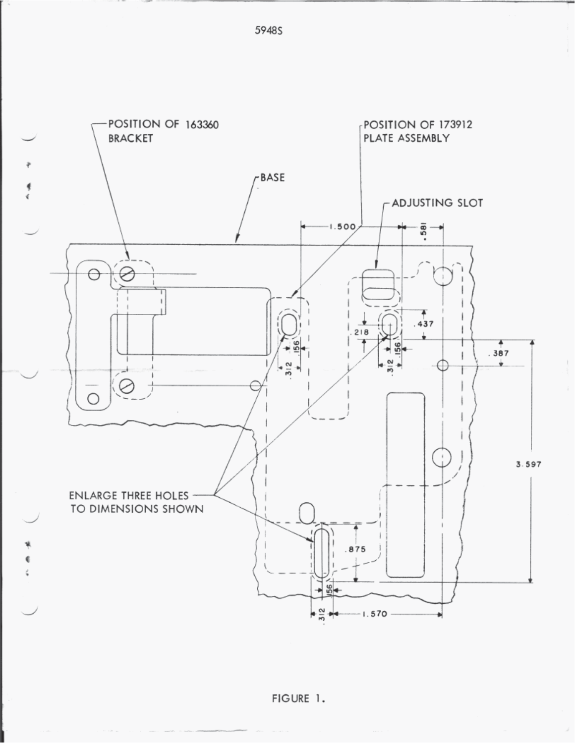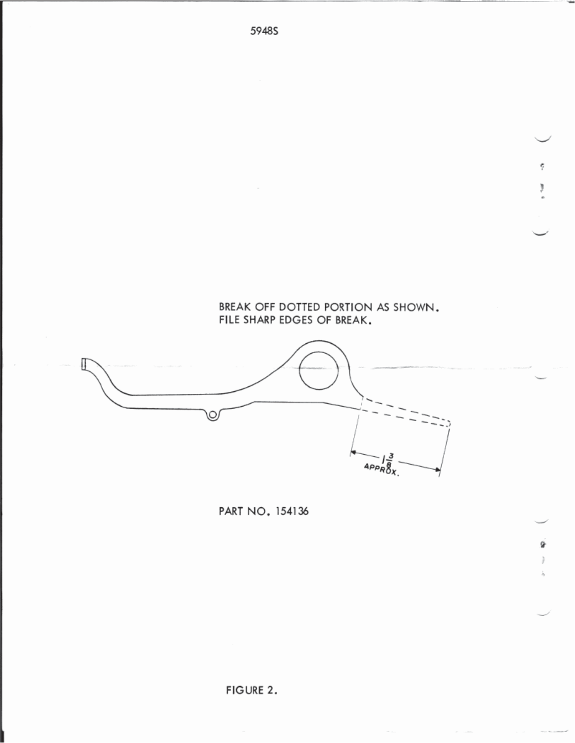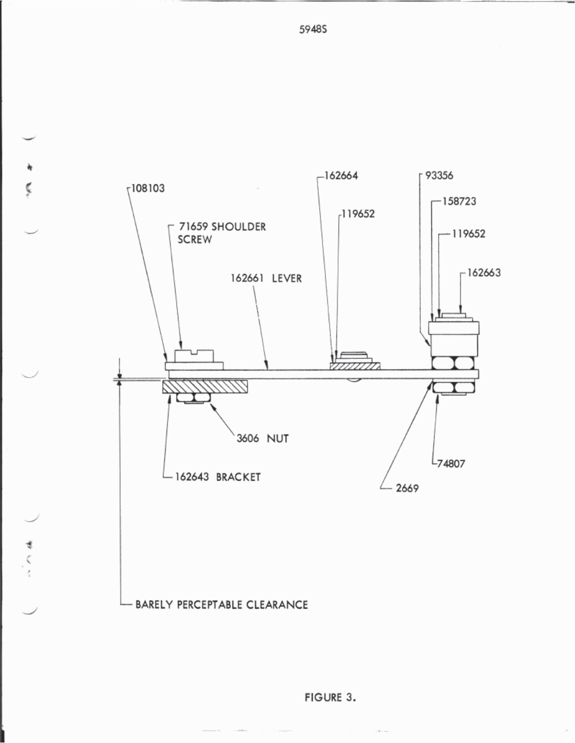

- BARELY PERCEPTABLE CLEARANCE

Ç

すくく

FIGURE 3.

5948S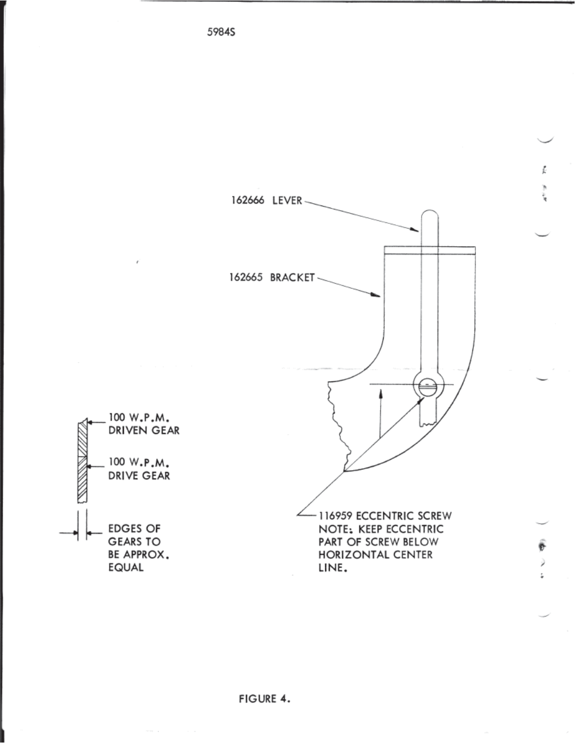